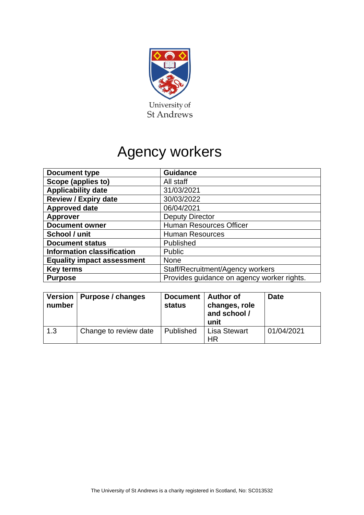

# Agency workers

| <b>Document type</b>                      | <b>Guidance</b>                            |  |
|-------------------------------------------|--------------------------------------------|--|
| Scope (applies to)                        | All staff                                  |  |
| <b>Applicability date</b>                 | 31/03/2021                                 |  |
| <b>Review / Expiry date</b>               | 30/03/2022                                 |  |
| <b>Approved date</b>                      | 06/04/2021                                 |  |
| <b>Deputy Director</b><br><b>Approver</b> |                                            |  |
| <b>Document owner</b>                     | <b>Human Resources Officer</b>             |  |
| School / unit                             | <b>Human Resources</b>                     |  |
| <b>Document status</b>                    | Published                                  |  |
| <b>Information classification</b>         | Public                                     |  |
| <b>Equality impact assessment</b>         | <b>None</b>                                |  |
| <b>Key terms</b>                          | Staff/Recruitment/Agency workers           |  |
| <b>Purpose</b>                            | Provides guidance on agency worker rights. |  |

| number | Version   Purpose / changes | <b>Document</b><br><b>status</b> | <b>Author of</b><br>changes, role<br>and school /<br>unit | <b>Date</b> |
|--------|-----------------------------|----------------------------------|-----------------------------------------------------------|-------------|
| 1.3    | Change to review date       | Published                        | <b>Lisa Stewart</b><br>ΗR                                 | 01/04/2021  |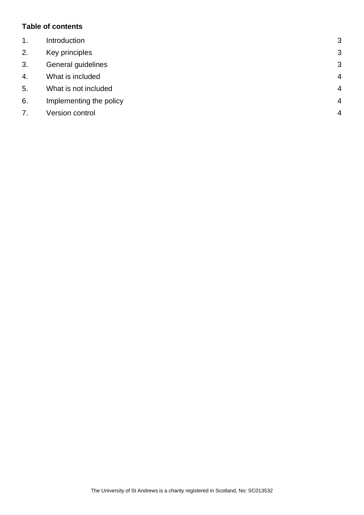## **Table of contents**

| $\mathbf 1$ . | Introduction            | 3              |
|---------------|-------------------------|----------------|
| 2.            | Key principles          | 3              |
| 3.            | General guidelines      | 3              |
| 4.            | What is included        | $\overline{4}$ |
| 5.            | What is not included    | $\overline{4}$ |
| 6.            | Implementing the policy | $\overline{4}$ |
| 7.            | Version control         | $\overline{4}$ |
|               |                         |                |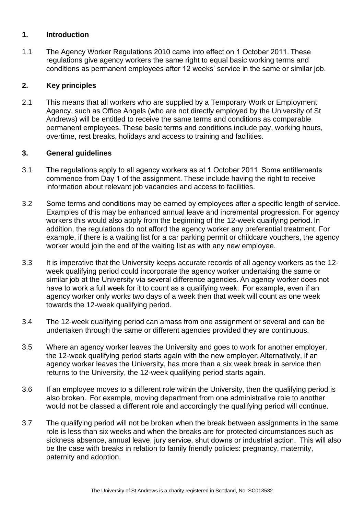#### <span id="page-2-0"></span>**1. Introduction**

1.1 The Agency Worker Regulations 2010 came into effect on 1 October 2011. These regulations give agency workers the same right to equal basic working terms and conditions as permanent employees after 12 weeks' service in the same or similar job.

## <span id="page-2-1"></span>**2. Key principles**

2.1 This means that all workers who are supplied by a Temporary Work or Employment Agency, such as Office Angels (who are not directly employed by the University of St Andrews) will be entitled to receive the same terms and conditions as comparable permanent employees. These basic terms and conditions include pay, working hours, overtime, rest breaks, holidays and access to training and facilities.

#### <span id="page-2-2"></span>**3. General guidelines**

- 3.1 The regulations apply to all agency workers as at 1 October 2011. Some entitlements commence from Day 1 of the assignment. These include having the right to receive information about relevant job vacancies and access to facilities.
- 3.2 Some terms and conditions may be earned by employees after a specific length of service.  Examples of this may be enhanced annual leave and incremental progression. For agency workers this would also apply from the beginning of the 12-week qualifying period. In addition, the regulations do not afford the agency worker any preferential treatment. For example, if there is a waiting list for a car parking permit or childcare vouchers, the agency worker would join the end of the waiting list as with any new employee.
- 3.3 It is imperative that the University keeps accurate records of all agency workers as the 12 week qualifying period could incorporate the agency worker undertaking the same or similar job at the University via several difference agencies. An agency worker does not have to work a full week for it to count as a qualifying week.  For example, even if an agency worker only works two days of a week then that week will count as one week towards the 12-week qualifying period.
- 3.4 The 12-week qualifying period can amass from one assignment or several and can be undertaken through the same or different agencies provided they are continuous.
- 3.5 Where an agency worker leaves the University and goes to work for another employer, the 12-week qualifying period starts again with the new employer. Alternatively, if an agency worker leaves the University, has more than a six week break in service then returns to the University, the 12-week qualifying period starts again.
- 3.6 If an employee moves to a different role within the University, then the qualifying period is also broken.  For example, moving department from one administrative role to another would not be classed a different role and accordingly the qualifying period will continue.
- 3.7 The qualifying period will not be broken when the break between assignments in the same role is less than six weeks and when the breaks are for protected circumstances such as sickness absence, annual leave, jury service, shut downs or industrial action.  This will also be the case with breaks in relation to family friendly policies: pregnancy, maternity, paternity and adoption.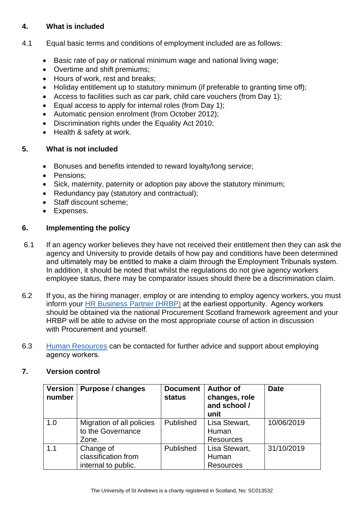# <span id="page-3-0"></span>**4. What is included**

- 4.1 Equal basic terms and conditions of employment included are as follows:
	- Basic rate of pay or national minimum wage and national living wage;
	- Overtime and shift premiums;
	- Hours of work, rest and breaks;
	- Holiday entitlement up to statutory minimum (if preferable to granting time off);
	- Access to facilities such as car park, child care vouchers (from Day 1);
	- Equal access to apply for internal roles (from Day 1);
	- Automatic pension enrolment (from October 2012);
	- Discrimination rights under the Equality Act 2010;
	- Health & safety at work.

#### <span id="page-3-1"></span>**5. What is not included**

- Bonuses and benefits intended to reward loyalty/long service;
- Pensions;
- Sick, maternity, paternity or adoption pay above the statutory minimum;
- Redundancy pay (statutory and contractual);
- Staff discount scheme:
- Expenses.

#### <span id="page-3-2"></span>**6. Implementing the policy**

- 6.1 If an agency worker believes they have not received their entitlement then they can ask the agency and University to provide details of how pay and conditions have been determined and ultimately may be entitled to make a claim through the Employment Tribunals system.  In addition, it should be noted that whilst the regulations do not give agency workers employee status, there may be comparator issues should there be a discrimination claim.
- 6.2 If you, as the hiring manager, employ or are intending to employ agency workers, you must inform your [HR Business Partner \(HRBP\)](https://www.st-andrews.ac.uk/hr/businesspartner/) at the earliest opportunity.  Agency workers should be obtained via the national Procurement Scotland framework agreement and your HRBP will be able to advise on the most appropriate course of action in discussion with Procurement and yourself.
- 6.3 [Human Resources](https://www.st-andrews.ac.uk/hr/) can be contacted for further advice and support about employing agency workers.

#### <span id="page-3-3"></span>**7. Version control**

| <b>Version</b><br>number | Purpose / changes                                       | <b>Document</b><br><b>status</b> | <b>Author of</b><br>changes, role<br>and school /<br>unit | <b>Date</b> |
|--------------------------|---------------------------------------------------------|----------------------------------|-----------------------------------------------------------|-------------|
| 1.0                      | Migration of all policies<br>to the Governance<br>Zone. | Published                        | Lisa Stewart,<br>Human<br><b>Resources</b>                | 10/06/2019  |
| 1.1                      | Change of<br>classification from<br>internal to public. | Published                        | Lisa Stewart,<br>Human<br><b>Resources</b>                | 31/10/2019  |